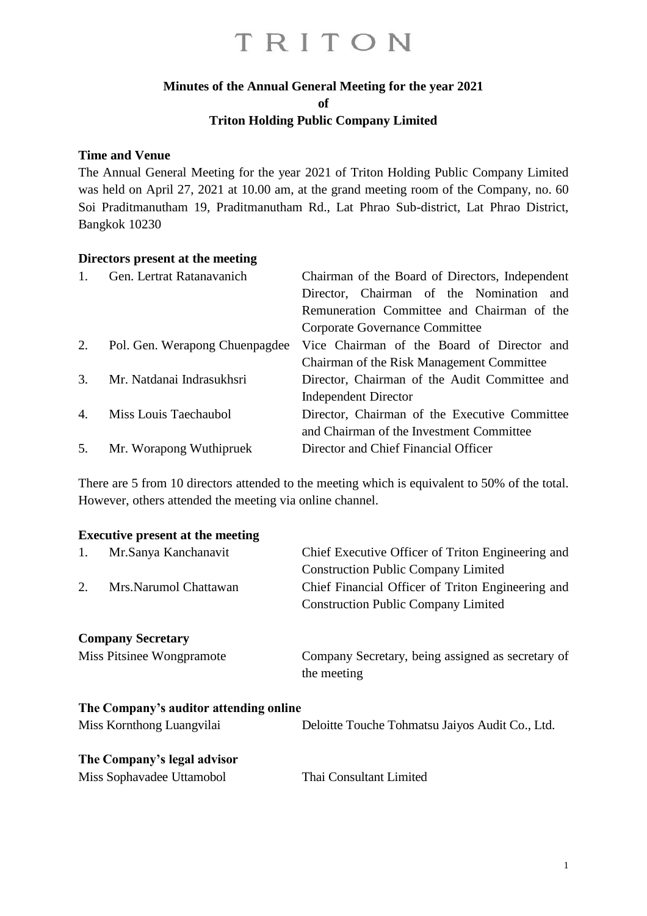### **Minutes of the Annual General Meeting for the year 2021**

**of**

#### **Triton Holding Public Company Limited**

#### **Time and Venue**

The Annual General Meeting for the year 2021 of Triton Holding Public Company Limited was held on April 27, 2021 at 10.00 am, at the grand meeting room of the Company, no. 60 Soi Praditmanutham 19, Praditmanutham Rd., Lat Phrao Sub-district, Lat Phrao District, Bangkok 10230

#### **Directors present at the meeting**

| 1. | Gen. Lertrat Ratanavanich      | Chairman of the Board of Directors, Independent |  |  |  |  |
|----|--------------------------------|-------------------------------------------------|--|--|--|--|
|    |                                | Director, Chairman of the Nomination and        |  |  |  |  |
|    |                                | Remuneration Committee and Chairman of the      |  |  |  |  |
|    |                                | Corporate Governance Committee                  |  |  |  |  |
| 2. | Pol. Gen. Werapong Chuenpagdee | Vice Chairman of the Board of Director and      |  |  |  |  |
|    |                                | Chairman of the Risk Management Committee       |  |  |  |  |
| 3. | Mr. Natdanai Indrasukhsri      | Director, Chairman of the Audit Committee and   |  |  |  |  |
|    |                                | <b>Independent Director</b>                     |  |  |  |  |
| 4. | Miss Louis Taechaubol          | Director, Chairman of the Executive Committee   |  |  |  |  |
|    |                                | and Chairman of the Investment Committee        |  |  |  |  |
| 5. | Mr. Worapong Wuthipruek        | Director and Chief Financial Officer            |  |  |  |  |

There are 5 from 10 directors attended to the meeting which is equivalent to 50% of the total. However, others attended the meeting via online channel.

#### **Executive present at the meeting**

| 1.                          | Mr.Sanya Kanchanavit                   | Chief Executive Officer of Triton Engineering and<br><b>Construction Public Company Limited</b> |  |  |
|-----------------------------|----------------------------------------|-------------------------------------------------------------------------------------------------|--|--|
| 2.<br>Mrs.Narumol Chattawan |                                        | Chief Financial Officer of Triton Engineering and<br><b>Construction Public Company Limited</b> |  |  |
|                             | <b>Company Secretary</b>               |                                                                                                 |  |  |
| Miss Pitsinee Wongpramote   |                                        | Company Secretary, being assigned as secretary of<br>the meeting                                |  |  |
|                             | The Company's auditor attending online |                                                                                                 |  |  |
|                             | Miss Kornthong Luangvilai              | Deloitte Touche Tohmatsu Jaiyos Audit Co., Ltd.                                                 |  |  |
|                             | The Company's legal advisor            |                                                                                                 |  |  |
|                             | Miss Sophavadee Uttamobol              | Thai Consultant Limited                                                                         |  |  |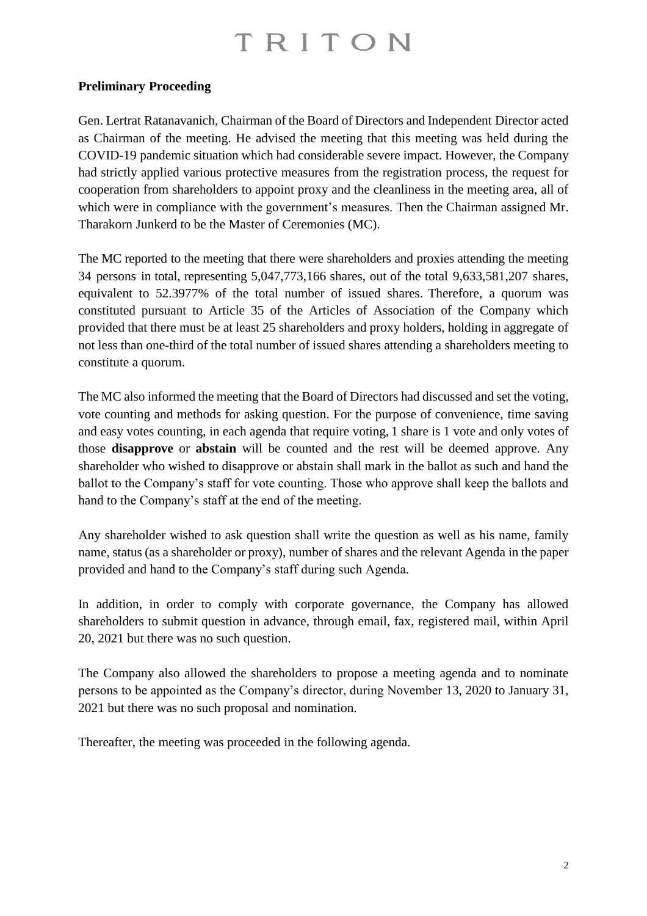### **Preliminary Proceeding**

Gen. Lertrat Ratanavanich, Chairman of the Board of Directors and Independent Director acted as Chairman of the meeting. He advised the meeting that this meeting was held during the COVID-19 pandemic situation which had considerable severe impact. However, the Company had strictly applied various protective measures from the registration process, the request for cooperation from shareholders to appoint proxy and the cleanliness in the meeting area, all of which were in compliance with the government's measures. Then the Chairman assigned Mr. Tharakorn Junkerd to be the Master of Ceremonies (MC).

The MC reported to the meeting that there were shareholders and proxies attending the meeting 34 persons in total, representing 5,047,773,166 shares, out of the total 9,633,581,207 shares, equivalent to 52.3977% of the total number of issued shares. Therefore, a quorum was constituted pursuant to Article 35 of the Articles of Association of the Company which provided that there must be at least 25 shareholders and proxy holders, holding in aggregate of not less than one-third of the total number of issued shares attending a shareholders meeting to constitute a quorum.

The MC also informed the meeting that the Board of Directors had discussed and set the voting, vote counting and methods for asking question. For the purpose of convenience, time saving and easy votes counting, in each agenda that require voting, 1 share is 1 vote and only votes of those **disapprove** or **abstain** will be counted and the rest will be deemed approve. Any shareholder who wished to disapprove or abstain shall mark in the ballot as such and hand the ballot to the Company's staff for vote counting. Those who approve shall keep the ballots and hand to the Company's staff at the end of the meeting.

Any shareholder wished to ask question shall write the question as well as his name, family name, status (as a shareholder or proxy), number of shares and the relevant Agenda in the paper provided and hand to the Company's staff during such Agenda.

In addition, in order to comply with corporate governance, the Company has allowed shareholders to submit question in advance, through email, fax, registered mail, within April 20, 2021 but there was no such question.

The Company also allowed the shareholders to propose a meeting agenda and to nominate persons to be appointed as the Company's director, during November 13, 2020 to January 31, 2021 but there was no such proposal and nomination.

Thereafter, the meeting was proceeded in the following agenda.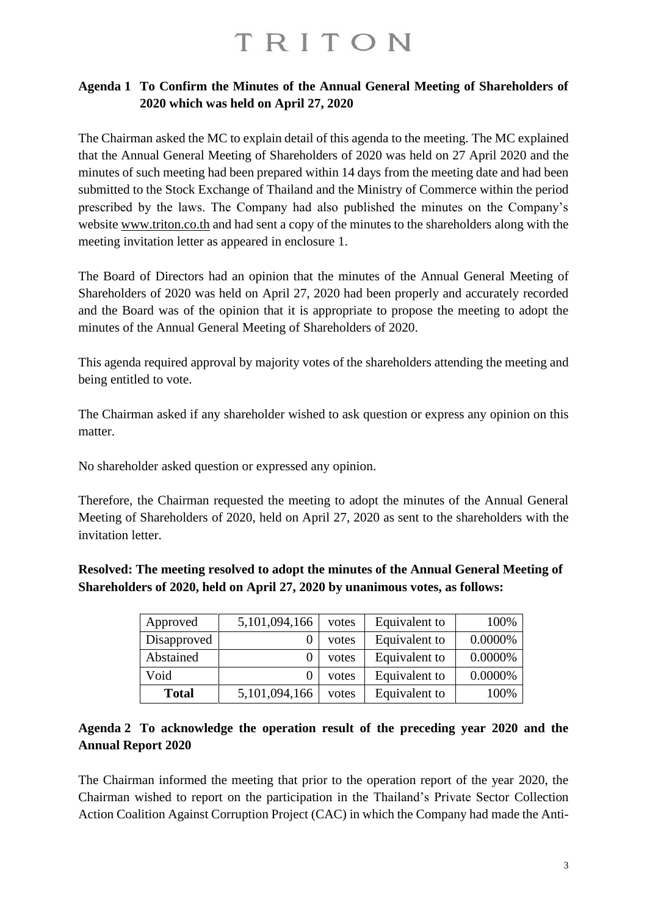### **Agenda 1 To Confirm the Minutes of the Annual General Meeting of Shareholders of 2020 which was held on April 27, 2020**

The Chairman asked the MC to explain detail of this agenda to the meeting. The MC explained that the Annual General Meeting of Shareholders of 2020 was held on 27 April 2020 and the minutes of such meeting had been prepared within 14 days from the meeting date and had been submitted to the Stock Exchange of Thailand and the Ministry of Commerce within the period prescribed by the laws. The Company had also published the minutes on the Company's website [www.triton.co.th](http://www.triton.co.th/) and had sent a copy of the minutes to the shareholders along with the meeting invitation letter as appeared in enclosure 1.

The Board of Directors had an opinion that the minutes of the Annual General Meeting of Shareholders of 2020 was held on April 27, 2020 had been properly and accurately recorded and the Board was of the opinion that it is appropriate to propose the meeting to adopt the minutes of the Annual General Meeting of Shareholders of 2020.

This agenda required approval by majority votes of the shareholders attending the meeting and being entitled to vote.

The Chairman asked if any shareholder wished to ask question or express any opinion on this matter.

No shareholder asked question or expressed any opinion.

Therefore, the Chairman requested the meeting to adopt the minutes of the Annual General Meeting of Shareholders of 2020, held on April 27, 2020 as sent to the shareholders with the invitation letter.

**Resolved: The meeting resolved to adopt the minutes of the Annual General Meeting of Shareholders of 2020, held on April 27, 2020 by unanimous votes, as follows:**

| Approved     | 5,101,094,166 | votes | Equivalent to | 100%    |
|--------------|---------------|-------|---------------|---------|
| Disapproved  |               | votes | Equivalent to | 0.0000% |
| Abstained    |               | votes | Equivalent to | 0.0000% |
| Void         |               | votes | Equivalent to | 0.0000% |
| <b>Total</b> | 5,101,094,166 | votes | Equivalent to | 100%    |

### **Agenda 2 To acknowledge the operation result of the preceding year 2020 and the Annual Report 2020**

The Chairman informed the meeting that prior to the operation report of the year 2020, the Chairman wished to report on the participation in the Thailand's Private Sector Collection Action Coalition Against Corruption Project (CAC) in which the Company had made the Anti-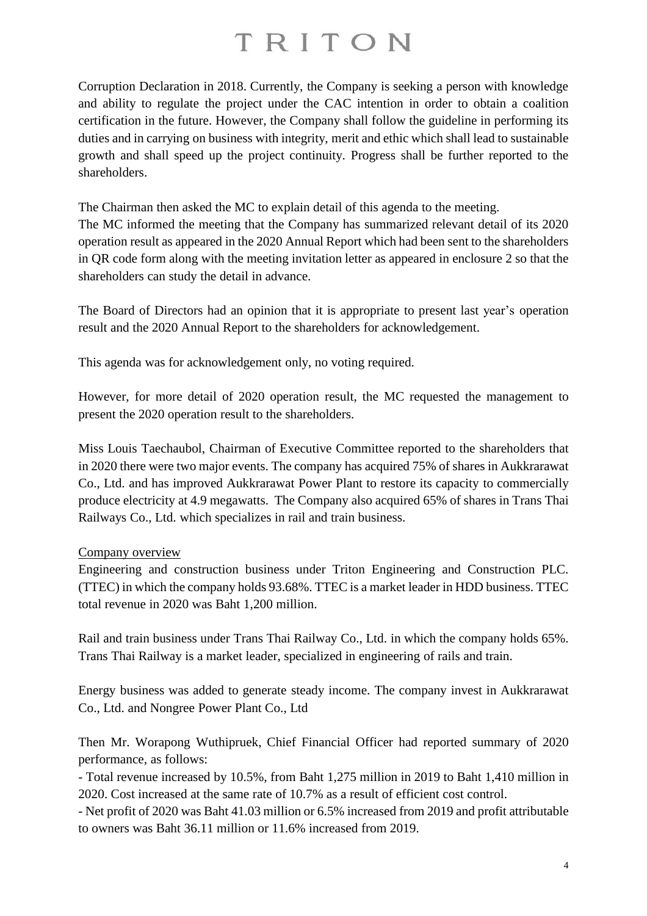Corruption Declaration in 2018. Currently, the Company is seeking a person with knowledge and ability to regulate the project under the CAC intention in order to obtain a coalition certification in the future. However, the Company shall follow the guideline in performing its duties and in carrying on business with integrity, merit and ethic which shall lead to sustainable growth and shall speed up the project continuity. Progress shall be further reported to the shareholders.

The Chairman then asked the MC to explain detail of this agenda to the meeting.

The MC informed the meeting that the Company has summarized relevant detail of its 2020 operation result as appeared in the 2020 Annual Report which had been sent to the shareholders in QR code form along with the meeting invitation letter as appeared in enclosure 2 so that the shareholders can study the detail in advance.

The Board of Directors had an opinion that it is appropriate to present last year's operation result and the 2020 Annual Report to the shareholders for acknowledgement.

This agenda was for acknowledgement only, no voting required.

However, for more detail of 2020 operation result, the MC requested the management to present the 2020 operation result to the shareholders.

Miss Louis Taechaubol, Chairman of Executive Committee reported to the shareholders that in 2020 there were two major events. The company has acquired 75% of shares in Aukkrarawat Co., Ltd. and has improved Aukkrarawat Power Plant to restore its capacity to commercially produce electricity at 4.9 megawatts. The Company also acquired 65% of shares in Trans Thai Railways Co., Ltd. which specializes in rail and train business.

#### Company overview

Engineering and construction business under Triton Engineering and Construction PLC. (TTEC) in which the company holds 93.68%. TTEC is a market leader in HDD business. TTEC total revenue in 2020 was Baht 1,200 million.

Rail and train business under Trans Thai Railway Co., Ltd. in which the company holds 65%. Trans Thai Railway is a market leader, specialized in engineering of rails and train.

Energy business was added to generate steady income. The company invest in Aukkrarawat Co., Ltd. and Nongree Power Plant Co., Ltd

Then Mr. Worapong Wuthipruek, Chief Financial Officer had reported summary of 2020 performance, as follows:

- Total revenue increased by 10.5%, from Baht 1,275 million in 2019 to Baht 1,410 million in 2020. Cost increased at the same rate of 10.7% as a result of efficient cost control.

- Net profit of 2020 was Baht 41.03 million or 6.5% increased from 2019 and profit attributable to owners was Baht 36.11 million or 11.6% increased from 2019.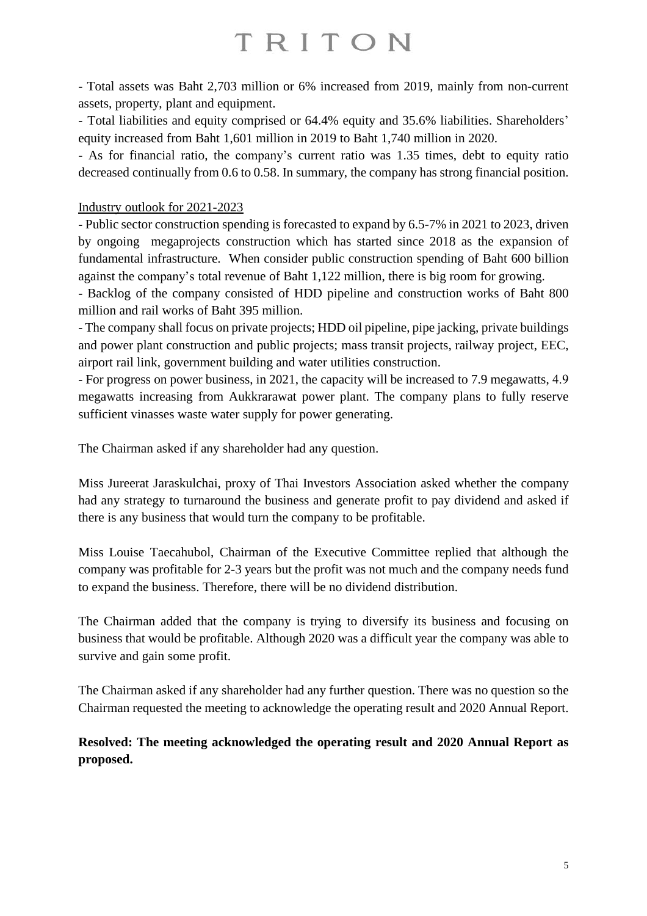- Total assets was Baht 2,703 million or 6% increased from 2019, mainly from non-current assets, property, plant and equipment.

- Total liabilities and equity comprised or 64.4% equity and 35.6% liabilities. Shareholders' equity increased from Baht 1,601 million in 2019 to Baht 1,740 million in 2020.

- As for financial ratio, the company's current ratio was 1.35 times, debt to equity ratio decreased continually from 0.6 to 0.58. In summary, the company has strong financial position.

### Industry outlook for 2021-2023

- Public sector construction spending is forecasted to expand by 6.5-7% in 2021 to 2023, driven by ongoing megaprojects construction which has started since 2018 as the expansion of fundamental infrastructure. When consider public construction spending of Baht 600 billion against the company's total revenue of Baht 1,122 million, there is big room for growing.

- Backlog of the company consisted of HDD pipeline and construction works of Baht 800 million and rail works of Baht 395 million.

- The company shall focus on private projects; HDD oil pipeline, pipe jacking, private buildings and power plant construction and public projects; mass transit projects, railway project, EEC, airport rail link, government building and water utilities construction.

- For progress on power business, in 2021, the capacity will be increased to 7.9 megawatts, 4.9 megawatts increasing from Aukkrarawat power plant. The company plans to fully reserve sufficient vinasses waste water supply for power generating.

The Chairman asked if any shareholder had any question.

Miss Jureerat Jaraskulchai, proxy of Thai Investors Association asked whether the company had any strategy to turnaround the business and generate profit to pay dividend and asked if there is any business that would turn the company to be profitable.

Miss Louise Taecahubol, Chairman of the Executive Committee replied that although the company was profitable for 2-3 years but the profit was not much and the company needs fund to expand the business. Therefore, there will be no dividend distribution.

The Chairman added that the company is trying to diversify its business and focusing on business that would be profitable. Although 2020 was a difficult year the company was able to survive and gain some profit.

The Chairman asked if any shareholder had any further question. There was no question so the Chairman requested the meeting to acknowledge the operating result and 2020 Annual Report.

**Resolved: The meeting acknowledged the operating result and 2020 Annual Report as proposed.**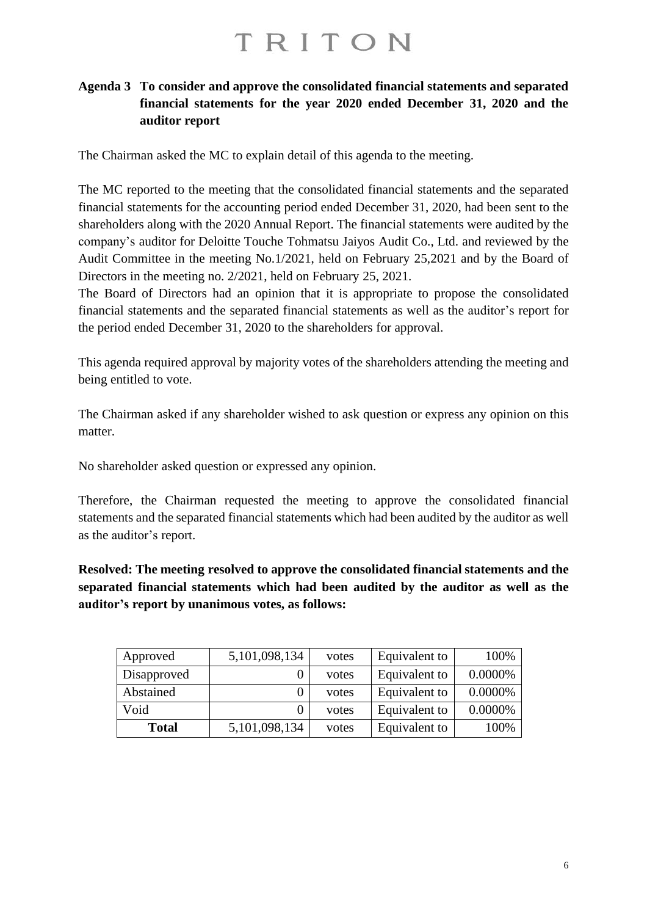### **Agenda 3 To consider and approve the consolidated financial statements and separated financial statements for the year 2020 ended December 31, 2020 and the auditor report**

The Chairman asked the MC to explain detail of this agenda to the meeting.

The MC reported to the meeting that the consolidated financial statements and the separated financial statements for the accounting period ended December 31, 2020, had been sent to the shareholders along with the 2020 Annual Report. The financial statements were audited by the company's auditor for Deloitte Touche Tohmatsu Jaiyos Audit Co., Ltd. and reviewed by the Audit Committee in the meeting No.1/2021, held on February 25,2021 and by the Board of Directors in the meeting no. 2/2021, held on February 25, 2021.

The Board of Directors had an opinion that it is appropriate to propose the consolidated financial statements and the separated financial statements as well as the auditor's report for the period ended December 31, 2020 to the shareholders for approval.

This agenda required approval by majority votes of the shareholders attending the meeting and being entitled to vote.

The Chairman asked if any shareholder wished to ask question or express any opinion on this matter.

No shareholder asked question or expressed any opinion.

Therefore, the Chairman requested the meeting to approve the consolidated financial statements and the separated financial statements which had been audited by the auditor as well as the auditor's report.

**Resolved: The meeting resolved to approve the consolidated financial statements and the separated financial statements which had been audited by the auditor as well as the auditor's report by unanimous votes, as follows:**

| Approved     | 5,101,098,134 | votes | Equivalent to | 100%    |
|--------------|---------------|-------|---------------|---------|
| Disapproved  |               | votes | Equivalent to | 0.0000% |
| Abstained    |               | votes | Equivalent to | 0.0000% |
| Void         |               | votes | Equivalent to | 0.0000% |
| <b>Total</b> | 5,101,098,134 | votes | Equivalent to | 100%    |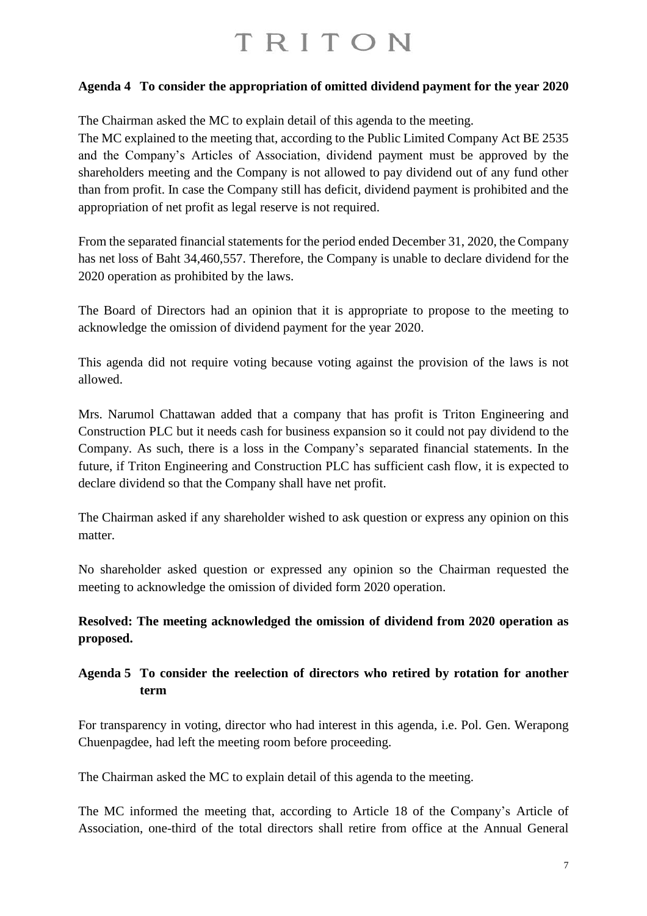### **Agenda 4 To consider the appropriation of omitted dividend payment for the year 2020**

The Chairman asked the MC to explain detail of this agenda to the meeting. The MC explained to the meeting that, according to the Public Limited Company Act BE 2535 and the Company's Articles of Association, dividend payment must be approved by the shareholders meeting and the Company is not allowed to pay dividend out of any fund other than from profit. In case the Company still has deficit, dividend payment is prohibited and the appropriation of net profit as legal reserve is not required.

From the separated financial statements for the period ended December 31, 2020, the Company has net loss of Baht 34,460,557. Therefore, the Company is unable to declare dividend for the 2020 operation as prohibited by the laws.

The Board of Directors had an opinion that it is appropriate to propose to the meeting to acknowledge the omission of dividend payment for the year 2020.

This agenda did not require voting because voting against the provision of the laws is not allowed.

Mrs. Narumol Chattawan added that a company that has profit is Triton Engineering and Construction PLC but it needs cash for business expansion so it could not pay dividend to the Company. As such, there is a loss in the Company's separated financial statements. In the future, if Triton Engineering and Construction PLC has sufficient cash flow, it is expected to declare dividend so that the Company shall have net profit.

The Chairman asked if any shareholder wished to ask question or express any opinion on this matter.

No shareholder asked question or expressed any opinion so the Chairman requested the meeting to acknowledge the omission of divided form 2020 operation.

### **Resolved: The meeting acknowledged the omission of dividend from 2020 operation as proposed.**

### **Agenda 5 To consider the reelection of directors who retired by rotation for another term**

For transparency in voting, director who had interest in this agenda, i.e. Pol. Gen. Werapong Chuenpagdee, had left the meeting room before proceeding.

The Chairman asked the MC to explain detail of this agenda to the meeting.

The MC informed the meeting that, according to Article 18 of the Company's Article of Association, one-third of the total directors shall retire from office at the Annual General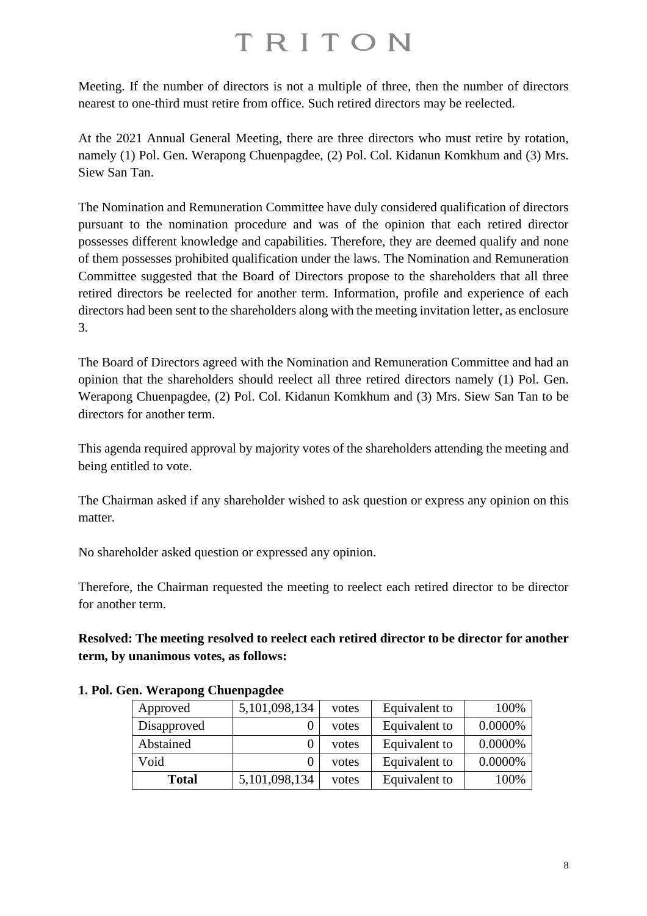Meeting. If the number of directors is not a multiple of three, then the number of directors nearest to one-third must retire from office. Such retired directors may be reelected.

At the 2021 Annual General Meeting, there are three directors who must retire by rotation, namely (1) Pol. Gen. Werapong Chuenpagdee, (2) Pol. Col. Kidanun Komkhum and (3) Mrs. Siew San Tan.

The Nomination and Remuneration Committee have duly considered qualification of directors pursuant to the nomination procedure and was of the opinion that each retired director possesses different knowledge and capabilities. Therefore, they are deemed qualify and none of them possesses prohibited qualification under the laws. The Nomination and Remuneration Committee suggested that the Board of Directors propose to the shareholders that all three retired directors be reelected for another term. Information, profile and experience of each directors had been sent to the shareholders along with the meeting invitation letter, as enclosure 3.

The Board of Directors agreed with the Nomination and Remuneration Committee and had an opinion that the shareholders should reelect all three retired directors namely (1) Pol. Gen. Werapong Chuenpagdee, (2) Pol. Col. Kidanun Komkhum and (3) Mrs. Siew San Tan to be directors for another term.

This agenda required approval by majority votes of the shareholders attending the meeting and being entitled to vote.

The Chairman asked if any shareholder wished to ask question or express any opinion on this matter.

No shareholder asked question or expressed any opinion.

Therefore, the Chairman requested the meeting to reelect each retired director to be director for another term.

**Resolved: The meeting resolved to reelect each retired director to be director for another term, by unanimous votes, as follows:**

| Approved     | 5,101,098,134 | votes | Equivalent to | 100%    |
|--------------|---------------|-------|---------------|---------|
| Disapproved  |               | votes | Equivalent to | 0.0000% |
| Abstained    |               | votes | Equivalent to | 0.0000% |
| Void         |               | votes | Equivalent to | 0.0000% |
| <b>Total</b> | 5,101,098,134 | votes | Equivalent to | 100%    |

#### **1. Pol. Gen. Werapong Chuenpagdee**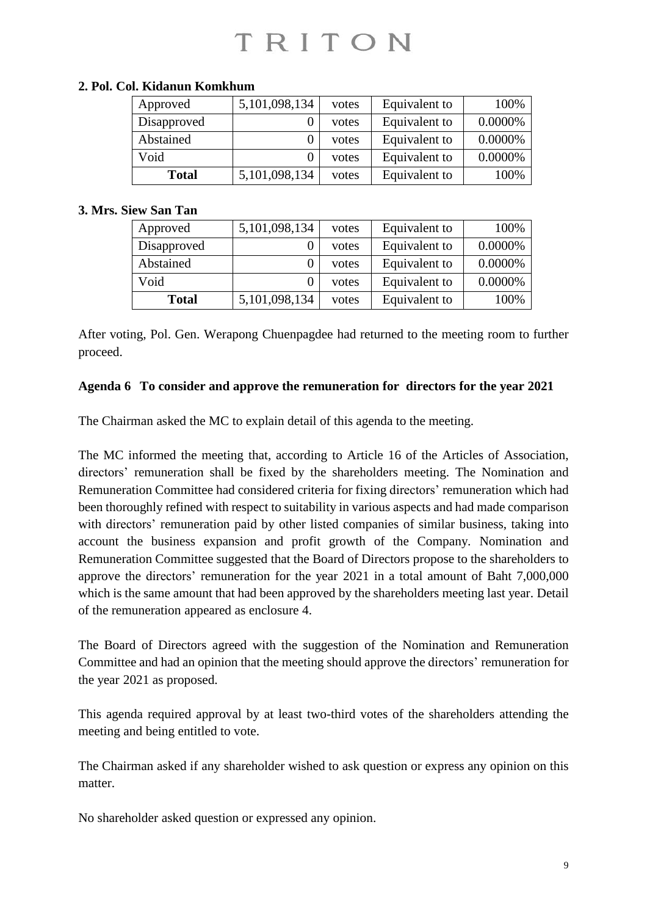| Approved     | 5,101,098,134 | votes | Equivalent to | 100%    |
|--------------|---------------|-------|---------------|---------|
| Disapproved  |               | votes | Equivalent to | 0.0000% |
| Abstained    |               | votes | Equivalent to | 0.0000% |
| Void         |               | votes | Equivalent to | 0.0000% |
| <b>Total</b> | 5,101,098,134 | votes | Equivalent to | 100%    |

### **2. Pol. Col. Kidanun Komkhum**

### **3. Mrs. Siew San Tan**

| Approved     | 5,101,098,134 | votes | Equivalent to | 100%    |
|--------------|---------------|-------|---------------|---------|
| Disapproved  |               | votes | Equivalent to | 0.0000% |
| Abstained    |               | votes | Equivalent to | 0.0000% |
| Void         |               | votes | Equivalent to | 0.0000% |
| <b>Total</b> | 5,101,098,134 | votes | Equivalent to | 100%    |

After voting, Pol. Gen. Werapong Chuenpagdee had returned to the meeting room to further proceed.

#### **Agenda 6 To consider and approve the remuneration for directors for the year 2021**

The Chairman asked the MC to explain detail of this agenda to the meeting.

The MC informed the meeting that, according to Article 16 of the Articles of Association, directors' remuneration shall be fixed by the shareholders meeting. The Nomination and Remuneration Committee had considered criteria for fixing directors' remuneration which had been thoroughly refined with respect to suitability in various aspects and had made comparison with directors' remuneration paid by other listed companies of similar business, taking into account the business expansion and profit growth of the Company. Nomination and Remuneration Committee suggested that the Board of Directors propose to the shareholders to approve the directors' remuneration for the year 2021 in a total amount of Baht 7,000,000 which is the same amount that had been approved by the shareholders meeting last year. Detail of the remuneration appeared as enclosure 4.

The Board of Directors agreed with the suggestion of the Nomination and Remuneration Committee and had an opinion that the meeting should approve the directors' remuneration for the year 2021 as proposed.

This agenda required approval by at least two-third votes of the shareholders attending the meeting and being entitled to vote.

The Chairman asked if any shareholder wished to ask question or express any opinion on this matter.

No shareholder asked question or expressed any opinion.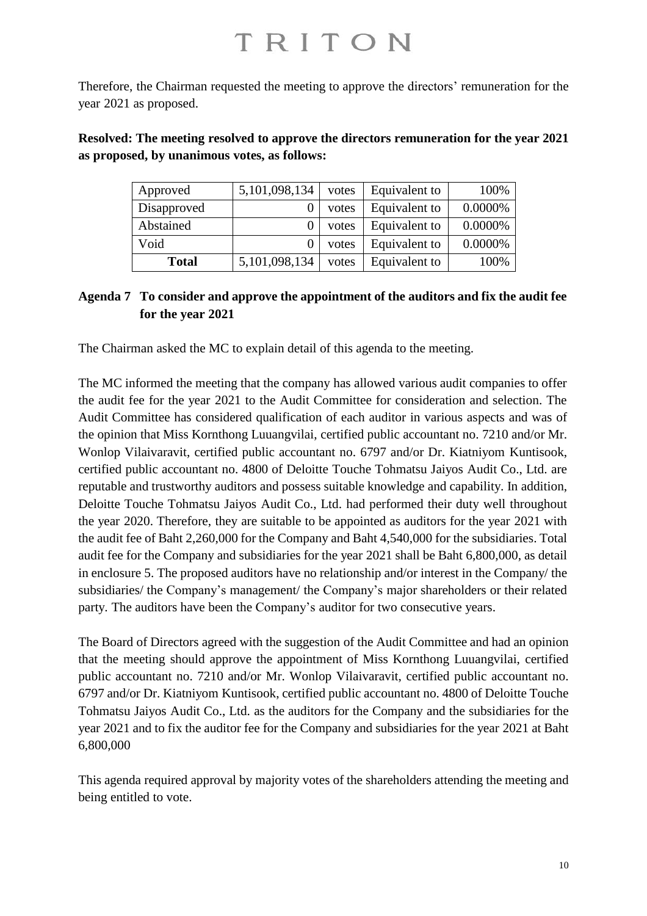Therefore, the Chairman requested the meeting to approve the directors' remuneration for the year 2021 as proposed.

**Resolved: The meeting resolved to approve the directors remuneration for the year 2021 as proposed, by unanimous votes, as follows:**

| Approved     | 5,101,098,134 | votes | Equivalent to | 100%    |
|--------------|---------------|-------|---------------|---------|
| Disapproved  |               | votes | Equivalent to | 0.0000% |
| Abstained    |               | votes | Equivalent to | 0.0000% |
| Void         |               | votes | Equivalent to | 0.0000% |
| <b>Total</b> | 5,101,098,134 | votes | Equivalent to | 100%    |

### **Agenda 7 To consider and approve the appointment of the auditors and fix the audit fee for the year 2021**

The Chairman asked the MC to explain detail of this agenda to the meeting.

The MC informed the meeting that the company has allowed various audit companies to offer the audit fee for the year 2021 to the Audit Committee for consideration and selection. The Audit Committee has considered qualification of each auditor in various aspects and was of the opinion that Miss Kornthong Luuangvilai, certified public accountant no. 7210 and/or Mr. Wonlop Vilaivaravit, certified public accountant no. 6797 and/or Dr. Kiatniyom Kuntisook, certified public accountant no. 4800 of Deloitte Touche Tohmatsu Jaiyos Audit Co., Ltd. are reputable and trustworthy auditors and possess suitable knowledge and capability. In addition, Deloitte Touche Tohmatsu Jaiyos Audit Co., Ltd. had performed their duty well throughout the year 2020. Therefore, they are suitable to be appointed as auditors for the year 2021 with the audit fee of Baht 2,260,000 for the Company and Baht 4,540,000 for the subsidiaries. Total audit fee for the Company and subsidiaries for the year 2021 shall be Baht 6,800,000, as detail in enclosure 5. The proposed auditors have no relationship and/or interest in the Company/ the subsidiaries/ the Company's management/ the Company's major shareholders or their related party. The auditors have been the Company's auditor for two consecutive years.

The Board of Directors agreed with the suggestion of the Audit Committee and had an opinion that the meeting should approve the appointment of Miss Kornthong Luuangvilai, certified public accountant no. 7210 and/or Mr. Wonlop Vilaivaravit, certified public accountant no. 6797 and/or Dr. Kiatniyom Kuntisook, certified public accountant no. 4800 of Deloitte Touche Tohmatsu Jaiyos Audit Co., Ltd. as the auditors for the Company and the subsidiaries for the year 2021 and to fix the auditor fee for the Company and subsidiaries for the year 2021 at Baht 6,800,000

This agenda required approval by majority votes of the shareholders attending the meeting and being entitled to vote.